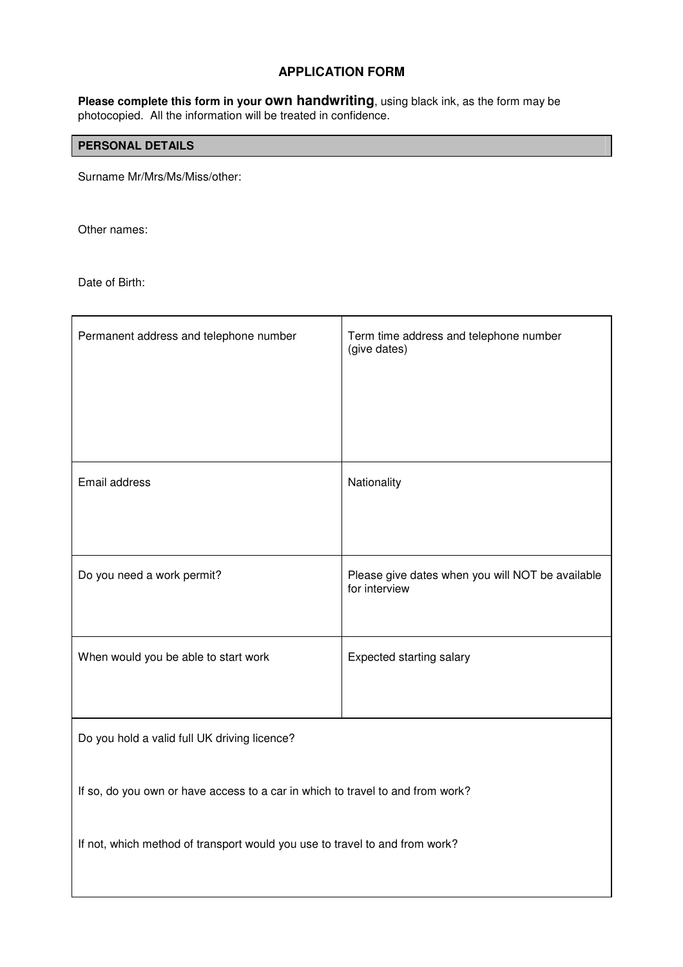### **APPLICATION FORM**

**Please complete this form in your own handwriting**, using black ink, as the form may be photocopied. All the information will be treated in confidence.

### **PERSONAL DETAILS**

Surname Mr/Mrs/Ms/Miss/other:

Other names:

Date of Birth:

| Permanent address and telephone number                                         | Term time address and telephone number<br>(give dates)            |  |  |
|--------------------------------------------------------------------------------|-------------------------------------------------------------------|--|--|
| Email address                                                                  | Nationality                                                       |  |  |
| Do you need a work permit?                                                     | Please give dates when you will NOT be available<br>for interview |  |  |
| When would you be able to start work                                           | Expected starting salary                                          |  |  |
| Do you hold a valid full UK driving licence?                                   |                                                                   |  |  |
| If so, do you own or have access to a car in which to travel to and from work? |                                                                   |  |  |
| If not, which method of transport would you use to travel to and from work?    |                                                                   |  |  |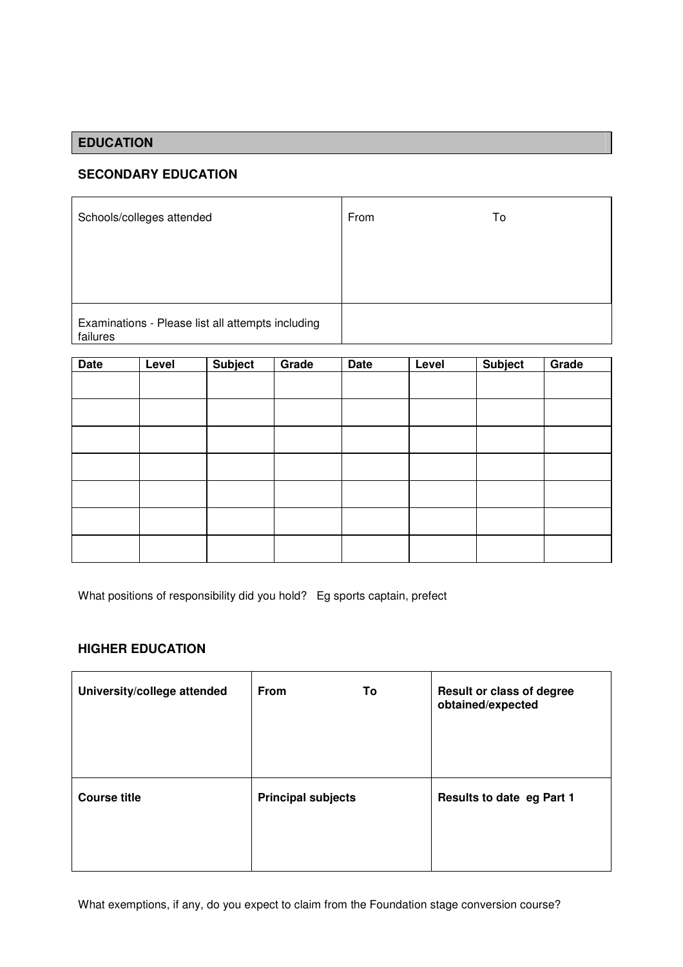# **EDUCATION**

### **SECONDARY EDUCATION**

| Schools/colleges attended                                     | From | To |
|---------------------------------------------------------------|------|----|
|                                                               |      |    |
|                                                               |      |    |
| Examinations - Please list all attempts including<br>failures |      |    |

| <b>Date</b> | Level | Subject | Grade | <b>Date</b> | Level | Subject | Grade |
|-------------|-------|---------|-------|-------------|-------|---------|-------|
|             |       |         |       |             |       |         |       |
|             |       |         |       |             |       |         |       |
|             |       |         |       |             |       |         |       |
|             |       |         |       |             |       |         |       |
|             |       |         |       |             |       |         |       |
|             |       |         |       |             |       |         |       |
|             |       |         |       |             |       |         |       |

|  | What positions of responsibility did you hold? Eg sports captain, prefect |
|--|---------------------------------------------------------------------------|

and an

### **HIGHER EDUCATION**

 $\mathbf{r}$ 

| University/college attended | <b>From</b>               | To | Result or class of degree<br>obtained/expected |
|-----------------------------|---------------------------|----|------------------------------------------------|
| <b>Course title</b>         | <b>Principal subjects</b> |    | Results to date eg Part 1                      |

What exemptions, if any, do you expect to claim from the Foundation stage conversion course?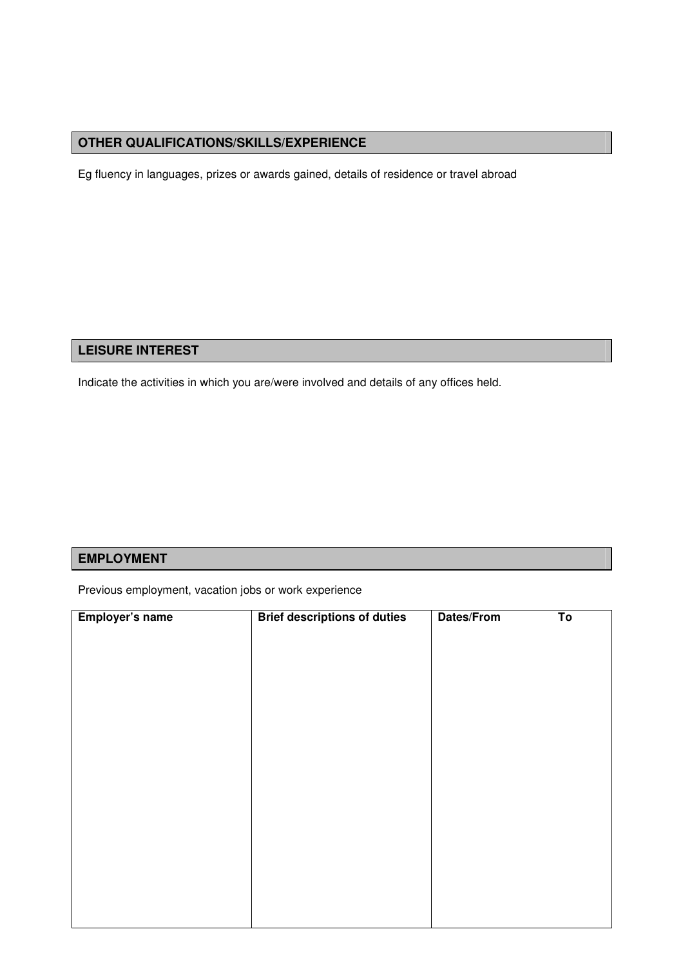## **OTHER QUALIFICATIONS/SKILLS/EXPERIENCE**

Eg fluency in languages, prizes or awards gained, details of residence or travel abroad

## **LEISURE INTEREST**

Indicate the activities in which you are/were involved and details of any offices held.

### **EMPLOYMENT**

Previous employment, vacation jobs or work experience

| Employer's name | <b>Brief descriptions of duties</b> | Dates/From | $\overline{\mathsf{To}}$ |
|-----------------|-------------------------------------|------------|--------------------------|
|                 |                                     |            |                          |
|                 |                                     |            |                          |
|                 |                                     |            |                          |
|                 |                                     |            |                          |
|                 |                                     |            |                          |
|                 |                                     |            |                          |
|                 |                                     |            |                          |
|                 |                                     |            |                          |
|                 |                                     |            |                          |
|                 |                                     |            |                          |
|                 |                                     |            |                          |
|                 |                                     |            |                          |
|                 |                                     |            |                          |
|                 |                                     |            |                          |
|                 |                                     |            |                          |
|                 |                                     |            |                          |
|                 |                                     |            |                          |
|                 |                                     |            |                          |
|                 |                                     |            |                          |